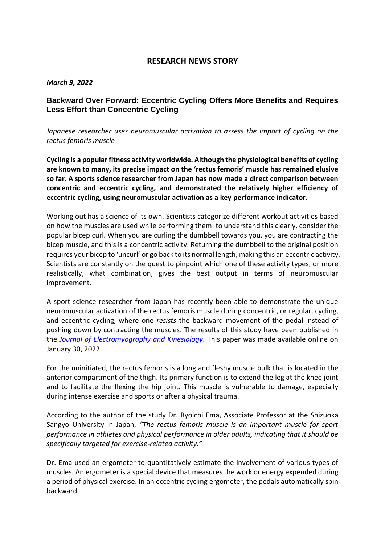# **RESEARCH NEWS STORY**

### *March 9, 2022*

## **Backward Over Forward: Eccentric Cycling Offers More Benefits and Requires Less Effort than Concentric Cycling**

*Japanese researcher uses neuromuscular activation to assess the impact of cycling on the rectus femoris muscle*

**Cycling is a popular fitness activity worldwide. Although the physiological benefits of cycling are known to many, its precise impact on the 'rectus femoris' muscle has remained elusive so far. A sports science researcher from Japan has now made a direct comparison between concentric and eccentric cycling, and demonstrated the relatively higher efficiency of eccentric cycling, using neuromuscular activation as a key performance indicator.** 

Working out has a science of its own. Scientists categorize different workout activities based on how the muscles are used while performing them: to understand this clearly, consider the popular bicep curl. When you are curling the dumbbell towards you, you are contracting the bicep muscle, and this is a concentric activity. Returning the dumbbell to the original position requires your bicep to 'uncurl' or go back to its normal length, making this an eccentric activity. Scientists are constantly on the quest to pinpoint which one of these activity types, or more realistically, what combination, gives the best output in terms of neuromuscular improvement.

A sport science researcher from Japan has recently been able to demonstrate the unique neuromuscular activation of the rectus femoris muscle during concentric, or regular, cycling, and eccentric cycling, where one *resists* the backward movement of the pedal instead of pushing down by contracting the muscles. The results of this study have been published in the *[Journal of Electromyography and Kinesiology](https://www.sciencedirect.com/science/article/abs/pii/S1050641122000116)*. This paper was made available online on January 30, 2022.

For the uninitiated, the rectus femoris is a long and fleshy muscle bulk that is located in the anterior compartment of the thigh. Its primary function is to extend the leg at the knee joint and to facilitate the flexing the hip joint. This muscle is vulnerable to damage, especially during intense exercise and sports or after a physical trauma.

According to the author of the study Dr. Ryoichi Ema, Associate Professor at the Shizuoka Sangyo University in Japan, *"The rectus femoris muscle is an important muscle for sport performance in athletes and physical performance in older adults, indicating that it should be specifically targeted for exercise-related activity."*

Dr. Ema used an ergometer to quantitatively estimate the involvement of various types of muscles. An ergometer is a special device that measures the work or energy expended during a period of physical exercise. In an eccentric cycling ergometer, the pedals automatically spin backward.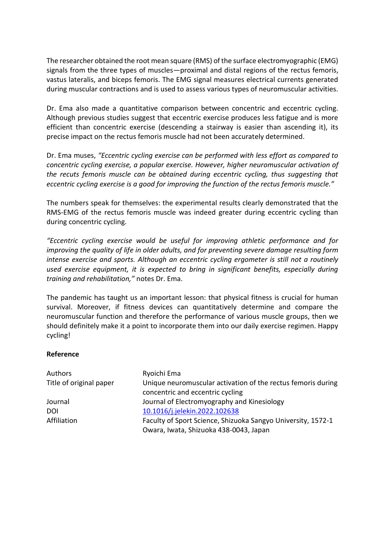The researcher obtained the root mean square (RMS) of the surface electromyographic (EMG) signals from the three types of muscles—proximal and distal regions of the rectus femoris, vastus lateralis, and biceps femoris. The EMG signal measures electrical currents generated during muscular contractions and is used to assess various types of neuromuscular activities.

Dr. Ema also made a quantitative comparison between concentric and eccentric cycling. Although previous studies suggest that eccentric exercise produces less fatigue and is more efficient than concentric exercise (descending a stairway is easier than ascending it), its precise impact on the rectus femoris muscle had not been accurately determined.

Dr. Ema muses, *"Eccentric cycling exercise can be performed with less effort as compared to concentric cycling exercise, a popular exercise. However, higher neuromuscular activation of the recuts femoris muscle can be obtained during eccentric cycling, thus suggesting that eccentric cycling exercise is a good for improving the function of the rectus femoris muscle."*

The numbers speak for themselves: the experimental results clearly demonstrated that the RMS-EMG of the rectus femoris muscle was indeed greater during eccentric cycling than during concentric cycling.

*"Eccentric cycling exercise would be useful for improving athletic performance and for improving the quality of life in older adults, and for preventing severe damage resulting form intense exercise and sports. Although an eccentric cycling ergometer is still not a routinely used exercise equipment, it is expected to bring in significant benefits, especially during training and rehabilitation,"* notes Dr. Ema.

The pandemic has taught us an important lesson: that physical fitness is crucial for human survival. Moreover, if fitness devices can quantitatively determine and compare the neuromuscular function and therefore the performance of various muscle groups, then we should definitely make it a point to incorporate them into our daily exercise regimen. Happy cycling!

### **Reference**

| Authors                 | Ryoichi Ema                                                  |
|-------------------------|--------------------------------------------------------------|
| Title of original paper | Unique neuromuscular activation of the rectus femoris during |
|                         | concentric and eccentric cycling                             |
| Journal                 | Journal of Electromyography and Kinesiology                  |
| <b>DOI</b>              | 10.1016/j.jelekin.2022.102638                                |
| Affiliation             | Faculty of Sport Science, Shizuoka Sangyo University, 1572-1 |
|                         | Owara, Iwata, Shizuoka 438-0043, Japan                       |